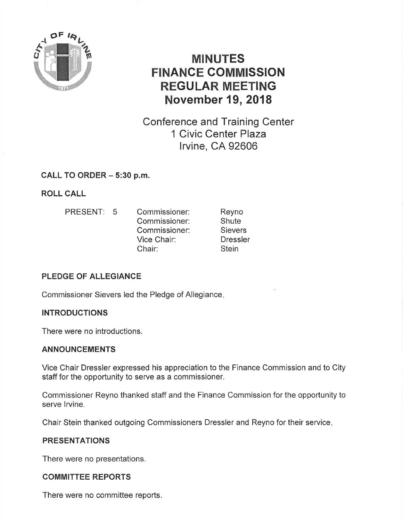

# MINUTES FINANCE COMMISSION REGULAR MEETING November 19,2018

Conference and Training Center 1 Civic Center Plaza lrvine, CA 92606

# CALL TO ORDER - 5:30 p.m.

ROLL CALL

PRESENT: 5 Commissioner: Commissioner: Commissioner: Vice Chair: Chair: Reyno **Shute Sievers Dressler Stein** 

# PLEDGE OF ALLEGIANCE

Commissioner Sievers led the Pledge of Allegiance

# INTRODUCTIONS

There were no introductions.

### ANNOUNCEMENTS

Vice Chair Dressler expressed his appreciation to the Finance Commission and to City staff for the opportunity to serve as a commissioner,

Commissioner Reyno thanked staff and the Finance Commission for the opportunity to serve lrvine.

Chair Stein thanked outgoing Commissioners Dressler and Reyno for their service

### PRESENTATIONS

There were no presentations.

# COMMITTEE REPORTS

There were no committee reports.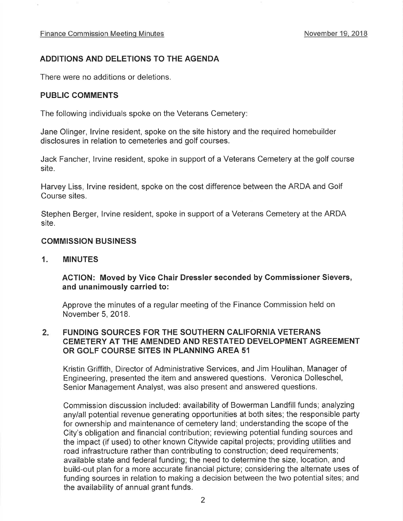### ADDITIONS AND DELETIONS TO THE AGENDA

There were no additions or deletions,

#### PUBLIC GOMMENTS

The following individuals spoke on the Veterans Cemetery

Jane Olinger, lrvine resident, spoke on the site history and the required homebuilder disclosures in relation to cemeteries and golf courses.

Jack Fancher, lrvine resident, spoke in support of a Veterans Cemetery at the golf course site.

Harvey Liss, lrvine resident, spoke on the cost difference between the ARDA and Golf Course sites.

Stephen Berger, lrvine resident, spoke in support of a Veterans Cemetery at the ARDA site.

#### COMMISSION BUSINESS

1. MINUTES

#### ACTION: Moved by Vice Chair Dressler seconded by Gommissioner Sievers, and unanimously carried to:

Approve the minutes of a regular meeting of the Finance Commission held on November 5,2018.

#### FUNDING SOURGES FOR THE SOUTHERN CALIFORNIA VETERANS CEMETERY AT THE AMENDED AND RESTATED DEVELOPMENT AGREEMENT OR GOLF COURSE SITES IN PLANNING AREA 51  $2.$

Kristin Griffith, Director of Administrative Services, and Jim Houlihan, Manager of Engineering, presented the item and answered questions. Veronica Dolleschel, Senior Management Analyst, was also present and answered questions.

Commission discussion included: availability of Bowerman Landfill funds; analyzing any/all potential revenue generating opportunities at both sites; the responsible party for ownership and maintenance of cemetery land; understanding the scope of the City's obligation and financial contribution; reviewing potential funding sources and the impact (if used) to other known Citywide capital projects; providing utilities and road infrastructure rather than contributing to construction; deed requirements; available state and federal funding; the need to determine the size, location, and build-out plan for a more accurate financial picture; considering the alternate uses of funding sources in relation to making a decision between the two potential sites; and the availability of annual grant funds.